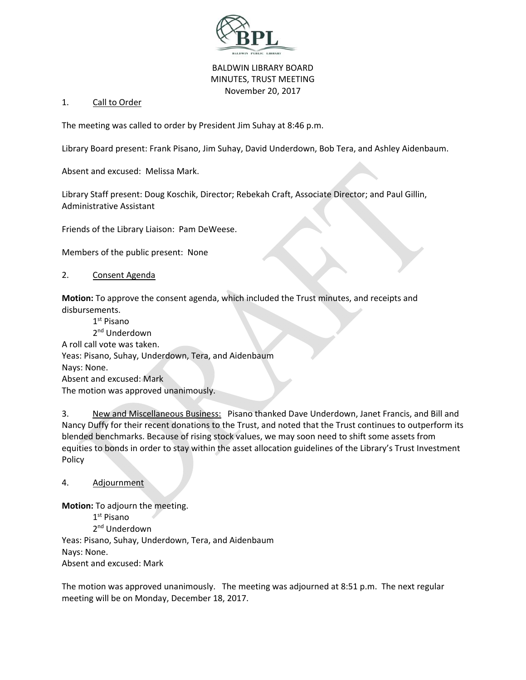

## BALDWIN LIBRARY BOARD MINUTES, TRUST MEETING November 20, 2017

## 1. Call to Order

The meeting was called to order by President Jim Suhay at 8:46 p.m.

Library Board present: Frank Pisano, Jim Suhay, David Underdown, Bob Tera, and Ashley Aidenbaum.

Absent and excused: Melissa Mark.

Library Staff present: Doug Koschik, Director; Rebekah Craft, Associate Director; and Paul Gillin, Administrative Assistant

Friends of the Library Liaison: Pam DeWeese.

Members of the public present: None

## 2. Consent Agenda

**Motion:** To approve the consent agenda, which included the Trust minutes, and receipts and disbursements.

1<sup>st</sup> Pisano 2<sup>nd</sup> Underdown A roll call vote was taken. Yeas: Pisano, Suhay, Underdown, Tera, and Aidenbaum Nays: None. Absent and excused: Mark The motion was approved unanimously.

3. New and Miscellaneous Business: Pisano thanked Dave Underdown, Janet Francis, and Bill and Nancy Duffy for their recent donations to the Trust, and noted that the Trust continues to outperform its blended benchmarks. Because of rising stock values, we may soon need to shift some assets from equities to bonds in order to stay within the asset allocation guidelines of the Library's Trust Investment Policy

4. Adjournment

**Motion:** To adjourn the meeting.

1st Pisano 2<sup>nd</sup> Underdown Yeas: Pisano, Suhay, Underdown, Tera, and Aidenbaum Nays: None. Absent and excused: Mark

The motion was approved unanimously. The meeting was adjourned at 8:51 p.m. The next regular meeting will be on Monday, December 18, 2017.